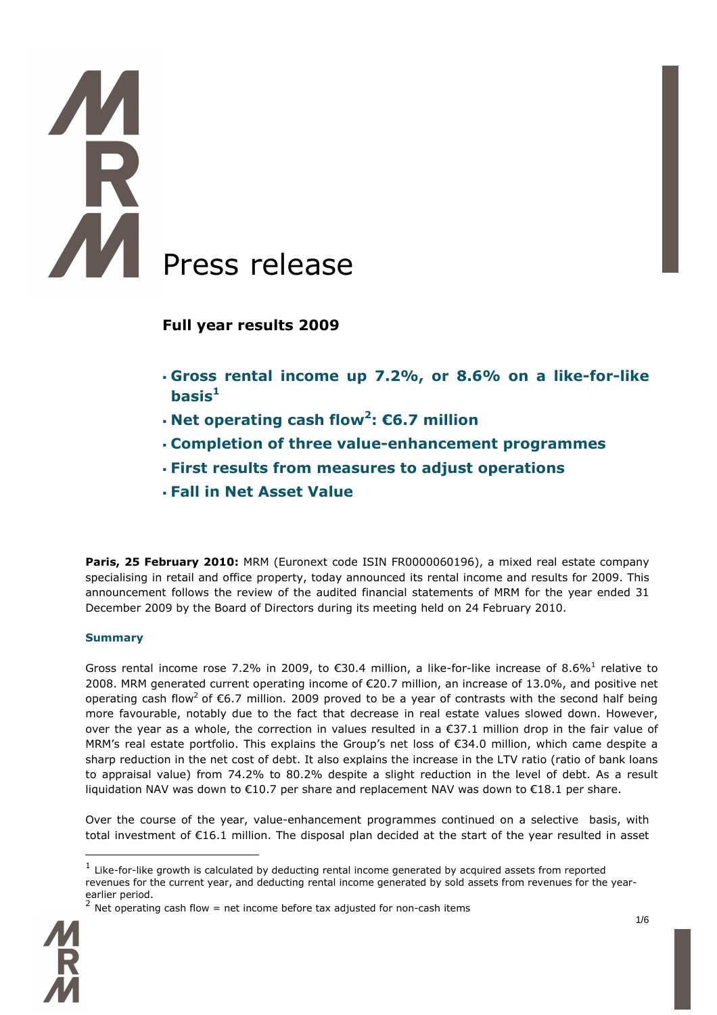# AA Press release

# **Full year results 2009**

- **Gross rental income up 7.2%, or 8.6% on a like-for-like basis<sup>1</sup>**
- **Net operating cash flow<sup>2</sup> : €6.7 million**
- **Completion of three value-enhancement programmes**
- **First results from measures to adjust operations**
- **Fall in Net Asset Value**

Paris, 25 February 2010: MRM (Euronext code ISIN FR0000060196), a mixed real estate company specialising in retail and office property, today announced its rental income and results for 2009. This announcement follows the review of the audited financial statements of MRM for the year ended 31 December 2009 by the Board of Directors during its meeting held on 24 February 2010.

## **Summary**

Gross rental income rose 7.2% in 2009, to  $\epsilon$ 30.4 million, a like-for-like increase of 8.6%<sup>1</sup> relative to 2008. MRM generated current operating income of €20.7 million, an increase of 13.0%, and positive net operating cash flow<sup>2</sup> of €6.7 million. 2009 proved to be a year of contrasts with the second half being more favourable, notably due to the fact that decrease in real estate values slowed down. However, over the year as a whole, the correction in values resulted in a €37.1 million drop in the fair value of MRM's real estate portfolio. This explains the Group's net loss of €34.0 million, which came despite a sharp reduction in the net cost of debt. It also explains the increase in the LTV ratio (ratio of bank loans to appraisal value) from 74.2% to 80.2% despite a slight reduction in the level of debt. As a result liquidation NAV was down to €10.7 per share and replacement NAV was down to €18.1 per share.

Over the course of the year, value-enhancement programmes continued on a selective basis, with total investment of €16.1 million. The disposal plan decided at the start of the year resulted in asset



 $\overline{a}$ 

 $^1$  Like-for-like growth is calculated by deducting rental income generated by acquired assets from reported revenues for the current year, and deducting rental income generated by sold assets from revenues for the yearearlier period.<br><sup>2</sup> Net operating cash flow = net income before tax adjusted for non-cash items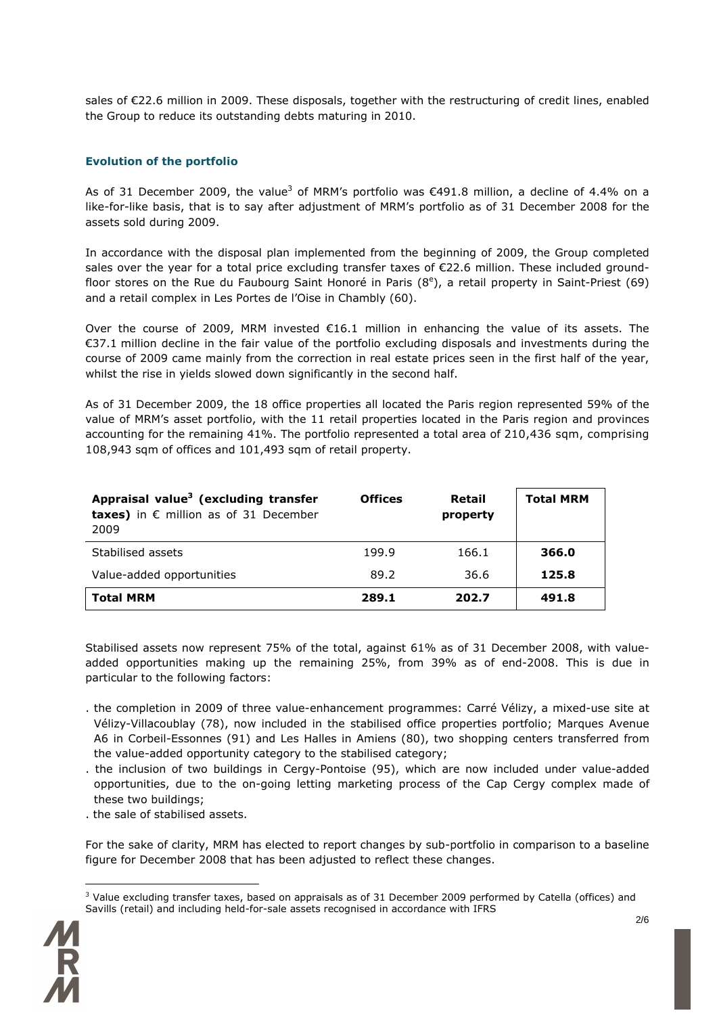sales of €22.6 million in 2009. These disposals, together with the restructuring of credit lines, enabled the Group to reduce its outstanding debts maturing in 2010.

### **Evolution of the portfolio**

As of 31 December 2009, the value<sup>3</sup> of MRM's portfolio was  $\epsilon$ 491.8 million, a decline of 4.4% on a like-for-like basis, that is to say after adjustment of MRM's portfolio as of 31 December 2008 for the assets sold during 2009.

In accordance with the disposal plan implemented from the beginning of 2009, the Group completed sales over the year for a total price excluding transfer taxes of €22.6 million. These included groundfloor stores on the Rue du Faubourg Saint Honoré in Paris (8<sup>e</sup>), a retail property in Saint-Priest (69) and a retail complex in Les Portes de l'Oise in Chambly (60).

Over the course of 2009, MRM invested  $\epsilon$ 16.1 million in enhancing the value of its assets. The €37.1 million decline in the fair value of the portfolio excluding disposals and investments during the course of 2009 came mainly from the correction in real estate prices seen in the first half of the year, whilst the rise in yields slowed down significantly in the second half.

As of 31 December 2009, the 18 office properties all located the Paris region represented 59% of the value of MRM's asset portfolio, with the 11 retail properties located in the Paris region and provinces accounting for the remaining 41%. The portfolio represented a total area of 210,436 sqm, comprising 108,943 sqm of offices and 101,493 sqm of retail property.

| Appraisal value <sup>3</sup> (excluding transfer<br>taxes) in $\epsilon$ million as of 31 December<br>2009 | <b>Offices</b> | Retail<br>property | <b>Total MRM</b> |
|------------------------------------------------------------------------------------------------------------|----------------|--------------------|------------------|
| Stabilised assets                                                                                          | 199.9          | 166.1              | 366.0            |
| Value-added opportunities                                                                                  | 89.2           | 36.6               | 125.8            |
| <b>Total MRM</b>                                                                                           | 289.1          | 202.7              | 491.8            |

Stabilised assets now represent 75% of the total, against 61% as of 31 December 2008, with valueadded opportunities making up the remaining 25%, from 39% as of end-2008. This is due in particular to the following factors:

- . the completion in 2009 of three value-enhancement programmes: Carré Vélizy, a mixed-use site at Vélizy-Villacoublay (78), now included in the stabilised office properties portfolio; Marques Avenue A6 in Corbeil-Essonnes (91) and Les Halles in Amiens (80), two shopping centers transferred from the value-added opportunity category to the stabilised category;
- . the inclusion of two buildings in Cergy-Pontoise (95), which are now included under value-added opportunities, due to the on-going letting marketing process of the Cap Cergy complex made of these two buildings;
- . the sale of stabilised assets.

For the sake of clarity, MRM has elected to report changes by sub-portfolio in comparison to a baseline figure for December 2008 that has been adjusted to reflect these changes.

 $3$  Value excluding transfer taxes, based on appraisals as of 31 December 2009 performed by Catella (offices) and Savills (retail) and including held-for-sale assets recognised in accordance with IFRS



 $\overline{a}$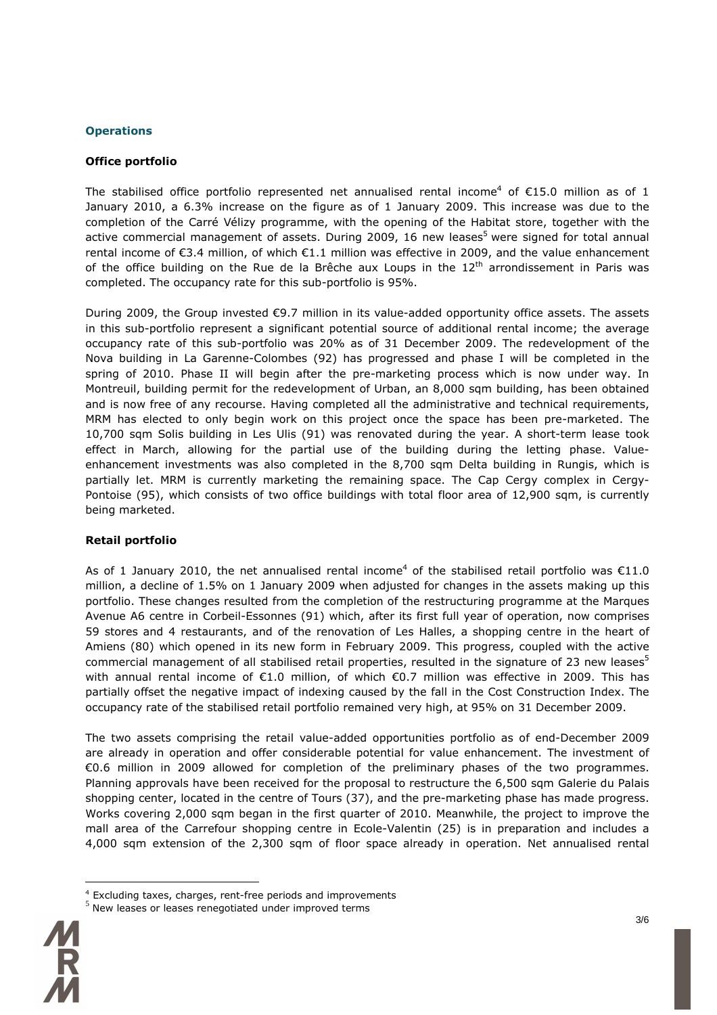### **Operations**

### **Office portfolio**

The stabilised office portfolio represented net annualised rental income<sup>4</sup> of  $\epsilon$ 15.0 million as of 1 January 2010, a 6.3% increase on the figure as of 1 January 2009. This increase was due to the completion of the Carré Vélizy programme, with the opening of the Habitat store, together with the active commercial management of assets. During 2009, 16 new leases<sup>5</sup> were signed for total annual rental income of €3.4 million, of which €1.1 million was effective in 2009, and the value enhancement of the office building on the Rue de la Brêche aux Loups in the  $12<sup>th</sup>$  arrondissement in Paris was completed. The occupancy rate for this sub-portfolio is 95%.

During 2009, the Group invested €9.7 million in its value-added opportunity office assets. The assets in this sub-portfolio represent a significant potential source of additional rental income; the average occupancy rate of this sub-portfolio was 20% as of 31 December 2009. The redevelopment of the Nova building in La Garenne-Colombes (92) has progressed and phase I will be completed in the spring of 2010. Phase II will begin after the pre-marketing process which is now under way. In Montreuil, building permit for the redevelopment of Urban, an 8,000 sqm building, has been obtained and is now free of any recourse. Having completed all the administrative and technical requirements, MRM has elected to only begin work on this project once the space has been pre-marketed. The 10,700 sqm Solis building in Les Ulis (91) was renovated during the year. A short-term lease took effect in March, allowing for the partial use of the building during the letting phase. Valueenhancement investments was also completed in the 8,700 sqm Delta building in Rungis, which is partially let. MRM is currently marketing the remaining space. The Cap Cergy complex in Cergy-Pontoise (95), which consists of two office buildings with total floor area of 12,900 sqm, is currently being marketed.

### **Retail portfolio**

As of 1 January 2010, the net annualised rental income<sup>4</sup> of the stabilised retail portfolio was  $€11.0$ million, a decline of 1.5% on 1 January 2009 when adjusted for changes in the assets making up this portfolio. These changes resulted from the completion of the restructuring programme at the Marques Avenue A6 centre in Corbeil-Essonnes (91) which, after its first full year of operation, now comprises 59 stores and 4 restaurants, and of the renovation of Les Halles, a shopping centre in the heart of Amiens (80) which opened in its new form in February 2009. This progress, coupled with the active commercial management of all stabilised retail properties, resulted in the signature of 23 new leases<sup>5</sup> with annual rental income of €1.0 million, of which €0.7 million was effective in 2009. This has partially offset the negative impact of indexing caused by the fall in the Cost Construction Index. The occupancy rate of the stabilised retail portfolio remained very high, at 95% on 31 December 2009.

The two assets comprising the retail value-added opportunities portfolio as of end-December 2009 are already in operation and offer considerable potential for value enhancement. The investment of €0.6 million in 2009 allowed for completion of the preliminary phases of the two programmes. Planning approvals have been received for the proposal to restructure the 6,500 sqm Galerie du Palais shopping center, located in the centre of Tours (37), and the pre-marketing phase has made progress. Works covering 2,000 sqm began in the first quarter of 2010. Meanwhile, the project to improve the mall area of the Carrefour shopping centre in Ecole-Valentin (25) is in preparation and includes a 4,000 sqm extension of the 2,300 sqm of floor space already in operation. Net annualised rental

<sup>5</sup> New leases or leases renegotiated under improved terms



 $\overline{a}$ 

<sup>4</sup> Excluding taxes, charges, rent-free periods and improvements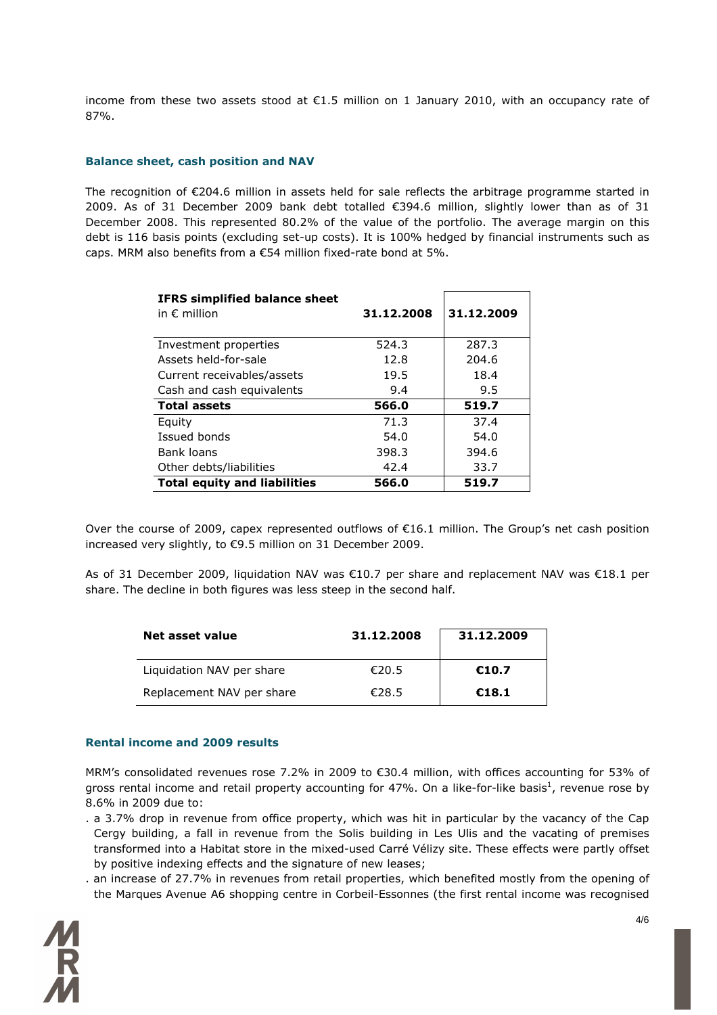income from these two assets stood at €1.5 million on 1 January 2010, with an occupancy rate of 87%.

### **Balance sheet, cash position and NAV**

The recognition of €204.6 million in assets held for sale reflects the arbitrage programme started in 2009. As of 31 December 2009 bank debt totalled €394.6 million, slightly lower than as of 31 December 2008. This represented 80.2% of the value of the portfolio. The average margin on this debt is 116 basis points (excluding set-up costs). It is 100% hedged by financial instruments such as caps. MRM also benefits from a €54 million fixed-rate bond at 5%.

| <b>IFRS simplified balance sheet</b> |            | 31.12.2009 |  |
|--------------------------------------|------------|------------|--|
| in $\epsilon$ million                | 31.12.2008 |            |  |
|                                      |            |            |  |
| Investment properties                | 524.3      | 287.3      |  |
| Assets held-for-sale                 | 12.8       | 204.6      |  |
| Current receivables/assets           | 19.5       | 18.4       |  |
| Cash and cash equivalents            | 9.4        | 9.5        |  |
| <b>Total assets</b>                  | 566.0      | 519.7      |  |
| Equity                               | 71.3       | 37.4       |  |
| Issued bonds                         | 54.0       | 54.0       |  |
| Bank loans                           | 398.3      | 394.6      |  |
| Other debts/liabilities              | 42.4       | 33.7       |  |
| <b>Total equity and liabilities</b>  | 566.0      | 519.7      |  |

Over the course of 2009, capex represented outflows of €16.1 million. The Group's net cash position increased very slightly, to €9.5 million on 31 December 2009.

As of 31 December 2009, liquidation NAV was €10.7 per share and replacement NAV was €18.1 per share. The decline in both figures was less steep in the second half.

| Net asset value           | 31.12.2008 | 31.12.2009 |
|---------------------------|------------|------------|
| Liquidation NAV per share | €20.5      | €10.7      |
| Replacement NAV per share | €28.5      | €18.1      |

### **Rental income and 2009 results**

MRM's consolidated revenues rose 7.2% in 2009 to €30.4 million, with offices accounting for 53% of gross rental income and retail property accounting for 47%. On a like-for-like basis<sup>1</sup>, revenue rose by 8.6% in 2009 due to:

- . a 3.7% drop in revenue from office property, which was hit in particular by the vacancy of the Cap Cergy building, a fall in revenue from the Solis building in Les Ulis and the vacating of premises transformed into a Habitat store in the mixed-used Carré Vélizy site. These effects were partly offset by positive indexing effects and the signature of new leases;
- . an increase of 27.7% in revenues from retail properties, which benefited mostly from the opening of the Marques Avenue A6 shopping centre in Corbeil-Essonnes (the first rental income was recognised

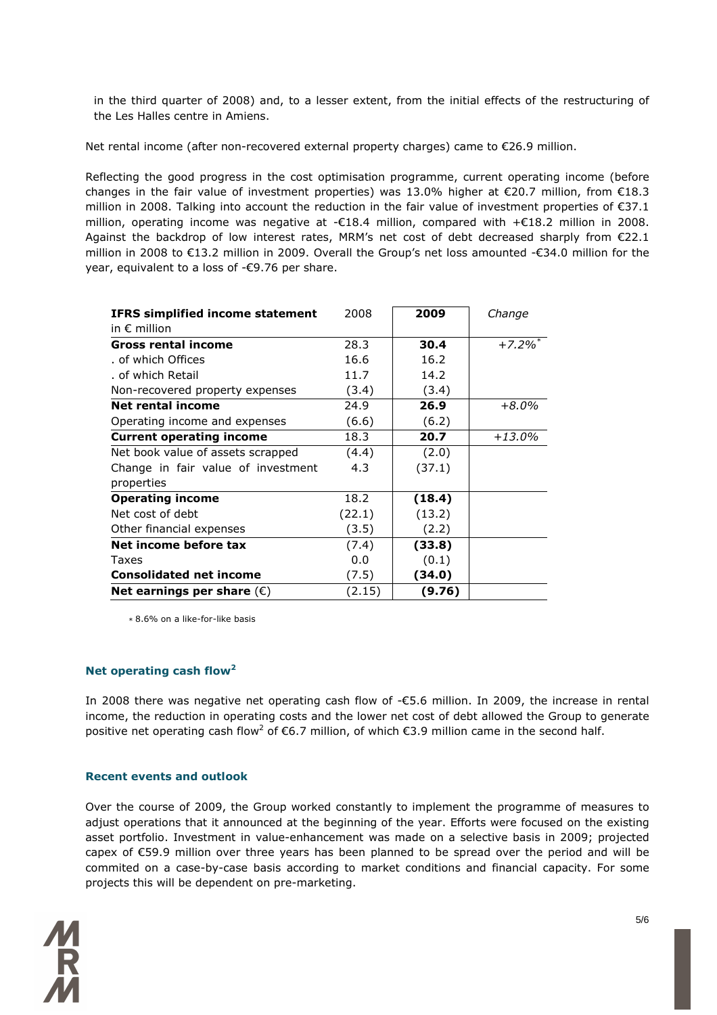in the third quarter of 2008) and, to a lesser extent, from the initial effects of the restructuring of the Les Halles centre in Amiens.

Net rental income (after non-recovered external property charges) came to €26.9 million.

Reflecting the good progress in the cost optimisation programme, current operating income (before changes in the fair value of investment properties) was 13.0% higher at €20.7 million, from €18.3 million in 2008. Talking into account the reduction in the fair value of investment properties of €37.1 million, operating income was negative at -€18.4 million, compared with +€18.2 million in 2008. Against the backdrop of low interest rates, MRM's net cost of debt decreased sharply from €22.1 million in 2008 to €13.2 million in 2009. Overall the Group's net loss amounted -€34.0 million for the year, equivalent to a loss of -€9.76 per share.

| <b>IFRS simplified income statement</b> | 2008   | 2009   | Change                |
|-----------------------------------------|--------|--------|-----------------------|
| in $\epsilon$ million                   |        |        |                       |
| <b>Gross rental income</b>              | 28.3   | 30.4   | $+7.2\%$ <sup>*</sup> |
| of which Offices                        | 16.6   | 16.2   |                       |
| . of which Retail                       | 11.7   | 14.2   |                       |
| Non-recovered property expenses         | (3.4)  | (3.4)  |                       |
| <b>Net rental income</b>                | 24.9   | 26.9   | $+8.0%$               |
| Operating income and expenses           | (6.6)  | (6.2)  |                       |
| <b>Current operating income</b>         | 18.3   | 20.7   | $+13.0\%$             |
| Net book value of assets scrapped       | (4.4)  | (2.0)  |                       |
| Change in fair value of investment      | 4.3    | (37.1) |                       |
| properties                              |        |        |                       |
| <b>Operating income</b>                 | 18.2   | (18.4) |                       |
| Net cost of debt                        | (22.1) | (13.2) |                       |
| Other financial expenses                | (3.5)  | (2.2)  |                       |
| Net income before tax                   | (7.4)  | (33.8) |                       |
| Taxes                                   | 0.0    | (0.1)  |                       |
| <b>Consolidated net income</b>          | (7.5)  | (34.0) |                       |
| Net earnings per share $(\epsilon)$     | (2.15) | (9.76) |                       |

*\** 8.6% on a like-for-like basis

### **Net operating cash flow<sup>2</sup>**

In 2008 there was negative net operating cash flow of -€5.6 million. In 2009, the increase in rental income, the reduction in operating costs and the lower net cost of debt allowed the Group to generate positive net operating cash flow<sup>2</sup> of  $\epsilon$ 6.7 million, of which  $\epsilon$ 3.9 million came in the second half.

### **Recent events and outlook**

Over the course of 2009, the Group worked constantly to implement the programme of measures to adjust operations that it announced at the beginning of the year. Efforts were focused on the existing asset portfolio. Investment in value-enhancement was made on a selective basis in 2009; projected capex of €59.9 million over three years has been planned to be spread over the period and will be commited on a case-by-case basis according to market conditions and financial capacity. For some projects this will be dependent on pre-marketing.